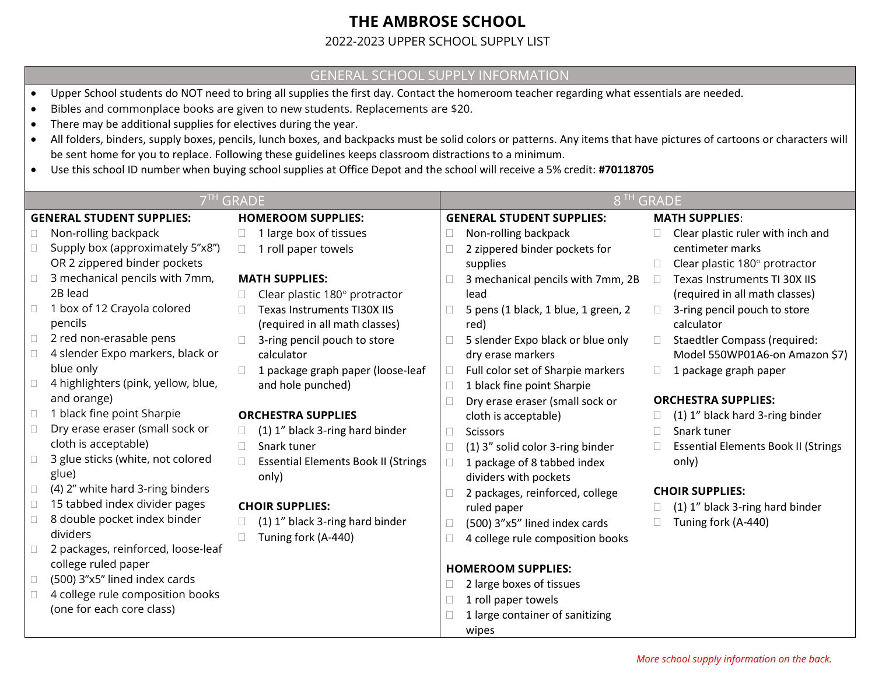# **THE AMBROSE SCHOOL**

#### 2022-2023 UPPER SCHOOL SUPPLY LIST

#### GENERAL SCHOOL SUPPLY INFORMATION

- Upper School students do NOT need to bring all supplies the first day. Contact the homeroom teacher regarding what essentials are needed.
- Bibles and commonplace books are given to new students. Replacements are \$20.
- There may be additional supplies for electives during the year.
- All folders, binders, supply boxes, pencils, lunch boxes, and backpacks must be solid colors or patterns. Any items that have pictures of cartoons or characters will be sent home for you to replace. Following these guidelines keeps classroom distractions to a minimum.
- Use this school ID number when buying school supplies at Office Depot and the school will receive a 5% credit: **#70118705**

| 7 <sup>TH</sup> GRADE            |                                                         |                                            | 8 <sup>TH</sup> GRADE            |                                     |                       |                                            |
|----------------------------------|---------------------------------------------------------|--------------------------------------------|----------------------------------|-------------------------------------|-----------------------|--------------------------------------------|
| <b>GENERAL STUDENT SUPPLIES:</b> |                                                         | <b>HOMEROOM SUPPLIES:</b>                  | <b>GENERAL STUDENT SUPPLIES:</b> |                                     | <b>MATH SUPPLIES:</b> |                                            |
|                                  | Non-rolling backpack                                    | 1 large box of tissues                     |                                  | Non-rolling backpack                |                       | Clear plastic ruler with inch and          |
|                                  | Supply box (approximately 5"x8")                        | 1 roll paper towels<br>$\Box$              |                                  | 2 zippered binder pockets for       |                       | centimeter marks                           |
|                                  | OR 2 zippered binder pockets                            |                                            |                                  | supplies                            |                       | Clear plastic 180° protractor              |
|                                  | 3 mechanical pencils with 7mm,                          | <b>MATH SUPPLIES:</b>                      |                                  | 3 mechanical pencils with 7mm, 2B   |                       | Texas Instruments TI 30X IIS               |
|                                  | 2B lead                                                 | Clear plastic 180° protractor              |                                  | lead                                |                       | (required in all math classes)             |
| $\Box$                           | 1 box of 12 Crayola colored                             | Texas Instruments TI30X IIS                | П                                | 5 pens (1 black, 1 blue, 1 green, 2 |                       | 3-ring pencil pouch to store               |
|                                  | pencils                                                 | (required in all math classes)             |                                  | red)                                |                       | calculator                                 |
| $\Box$                           | 2 red non-erasable pens                                 | 3-ring pencil pouch to store               |                                  | 5 slender Expo black or blue only   |                       | <b>Staedtler Compass (required:</b>        |
|                                  | 4 slender Expo markers, black or                        | calculator                                 |                                  | dry erase markers                   |                       | Model 550WP01A6-on Amazon \$7)             |
|                                  | blue only                                               | 1 package graph paper (loose-leaf          | $\Box$                           | Full color set of Sharpie markers   |                       | 1 package graph paper                      |
|                                  | 4 highlighters (pink, yellow, blue,                     | and hole punched)                          | $\Box$                           | 1 black fine point Sharpie          |                       |                                            |
|                                  | and orange)                                             |                                            |                                  | Dry erase eraser (small sock or     |                       | <b>ORCHESTRA SUPPLIES:</b>                 |
|                                  | 1 black fine point Sharpie                              | <b>ORCHESTRA SUPPLIES</b>                  |                                  | cloth is acceptable)                |                       | (1) 1" black hard 3-ring binder            |
| □                                | Dry erase eraser (small sock or<br>cloth is acceptable) | (1) 1" black 3-ring hard binder            | П                                | <b>Scissors</b>                     | П.                    | Snark tuner                                |
|                                  | 3 glue sticks (white, not colored                       | Snark tuner                                |                                  | (1) 3" solid color 3-ring binder    |                       | <b>Essential Elements Book II (Strings</b> |
|                                  | glue)                                                   | <b>Essential Elements Book II (Strings</b> |                                  | 1 package of 8 tabbed index         |                       | only)                                      |
|                                  | (4) 2" white hard 3-ring binders                        | only)                                      |                                  | dividers with pockets               |                       |                                            |
| □                                | 15 tabbed index divider pages                           | <b>CHOIR SUPPLIES:</b>                     |                                  | 2 packages, reinforced, college     |                       | <b>CHOIR SUPPLIES:</b>                     |
| $\Box$                           | 8 double pocket index binder                            | (1) 1" black 3-ring hard binder            |                                  | ruled paper                         |                       | (1) 1" black 3-ring hard binder            |
|                                  | dividers                                                | Tuning fork (A-440)                        |                                  | (500) 3"x5" lined index cards       |                       | Tuning fork (A-440)                        |
| □                                | 2 packages, reinforced, loose-leaf                      |                                            |                                  | 4 college rule composition books    |                       |                                            |
|                                  | college ruled paper                                     |                                            |                                  | <b>HOMEROOM SUPPLIES:</b>           |                       |                                            |
|                                  | (500) 3"x5" lined index cards                           |                                            |                                  | 2 large boxes of tissues            |                       |                                            |
|                                  | 4 college rule composition books                        |                                            |                                  | 1 roll paper towels                 |                       |                                            |
|                                  | (one for each core class)                               |                                            |                                  | 1 large container of sanitizing     |                       |                                            |
|                                  |                                                         |                                            |                                  | wipes                               |                       |                                            |
|                                  |                                                         |                                            |                                  |                                     |                       |                                            |